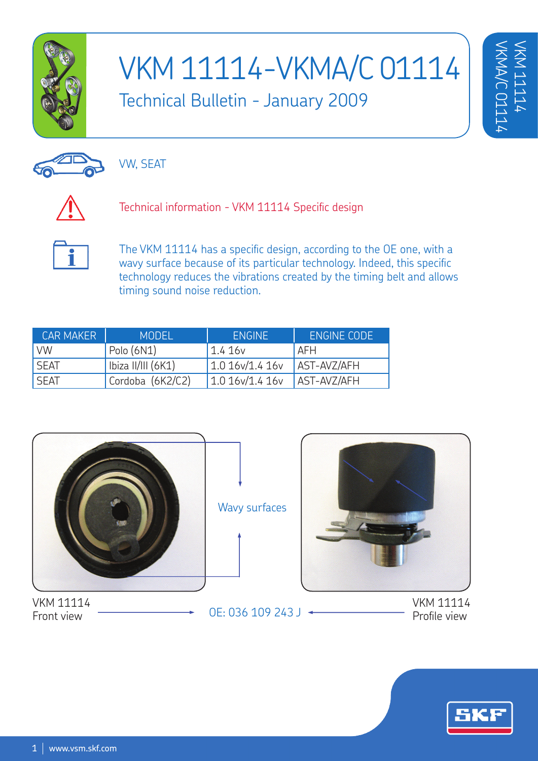

90

## VKM 11114-VKMA/C 01114 Technical Bulletin - January 2009

VW, SEAT

Technical information - VKM 11114 Specific design



The VKM 11114 has a specific design, according to the OE one, with a wavy surface because of its particular technology. Indeed, this specific technology reduces the vibrations created by the timing belt and allows timing sound noise reduction.

| <b>CAR MAKER</b> | <b>MODEL</b>       | <b>ENGINE</b> | ENGINE CODE |
|------------------|--------------------|---------------|-------------|
| <b>VW</b>        | Polo(6N1)          | 1.416v        | l AFH       |
| <b>SEAT</b>      | Ibiza II/III (6K1) | 1.016v/1.416v | AST-AVZ/AFH |
| <b>SEAT</b>      | Cordoba (6K2/C2)   | 1.016v/1.416v | AST-AVZ/AFH |